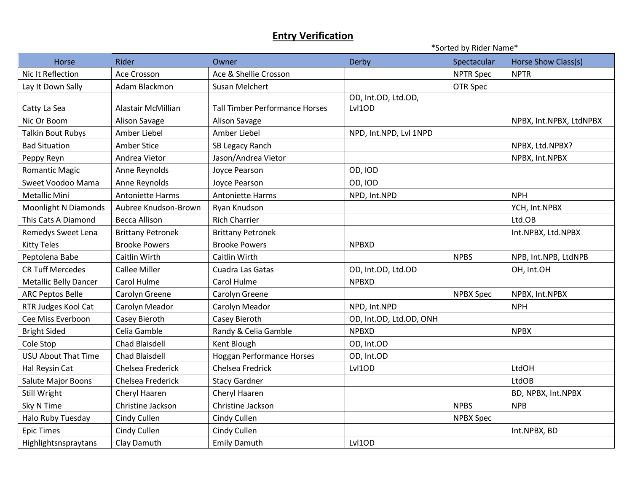\*Sorted by Rider Name\*

| Horse                        | Rider                    | Owner                                 | <b>Derby</b>            | Spectacular      | Horse Show Class(s)     |
|------------------------------|--------------------------|---------------------------------------|-------------------------|------------------|-------------------------|
| Nic It Reflection            | Ace Crosson              | Ace & Shellie Crosson                 |                         | <b>NPTR Spec</b> | <b>NPTR</b>             |
| Lay It Down Sally            | Adam Blackmon            | Susan Melchert                        |                         | OTR Spec         |                         |
|                              |                          |                                       | OD, Int.OD, Ltd.OD,     |                  |                         |
| Catty La Sea                 | Alastair McMillian       | <b>Tall Timber Performance Horses</b> | Lvl10D                  |                  |                         |
| Nic Or Boom                  | Alison Savage            | Alison Savage                         |                         |                  | NPBX, Int.NPBX, LtdNPBX |
| <b>Talkin Bout Rubys</b>     | Amber Liebel             | Amber Liebel                          | NPD, Int.NPD, Lvl 1NPD  |                  |                         |
| <b>Bad Situation</b>         | Amber Stice              | SB Legacy Ranch                       |                         |                  | NPBX, Ltd.NPBX?         |
| Peppy Reyn                   | Andrea Vietor            | Jason/Andrea Vietor                   |                         |                  | NPBX, Int.NPBX          |
| Romantic Magic               | Anne Reynolds            | Joyce Pearson                         | OD, IOD                 |                  |                         |
| Sweet Voodoo Mama            | Anne Reynolds            | <b>Joyce Pearson</b>                  | OD, IOD                 |                  |                         |
| <b>Metallic Mini</b>         | <b>Antoniette Harms</b>  | <b>Antoniette Harms</b>               | NPD, Int.NPD            |                  | <b>NPH</b>              |
| <b>Moonlight N Diamonds</b>  | Aubree Knudson-Brown     | Ryan Knudson                          |                         |                  | YCH, Int.NPBX           |
| This Cats A Diamond          | <b>Becca Allison</b>     | <b>Rich Charrier</b>                  |                         |                  | Ltd.OB                  |
| Remedys Sweet Lena           | <b>Brittany Petronek</b> | <b>Brittany Petronek</b>              |                         |                  | Int.NPBX, Ltd.NPBX      |
| <b>Kitty Teles</b>           | <b>Brooke Powers</b>     | <b>Brooke Powers</b>                  | <b>NPBXD</b>            |                  |                         |
| Peptolena Babe               | Caitlin Wirth            | Caitlin Wirth                         |                         | <b>NPBS</b>      | NPB, Int.NPB, LtdNPB    |
| <b>CR Tuff Mercedes</b>      | <b>Callee Miller</b>     | Cuadra Las Gatas                      | OD, Int.OD, Ltd.OD      |                  | OH, Int.OH              |
| <b>Metallic Belly Dancer</b> | Carol Hulme              | Carol Hulme                           | <b>NPBXD</b>            |                  |                         |
| <b>ARC Peptos Belle</b>      | Carolyn Greene           | Carolyn Greene                        |                         | <b>NPBX Spec</b> | NPBX, Int.NPBX          |
| RTR Judges Kool Cat          | Carolyn Meador           | Carolyn Meador                        | NPD, Int.NPD            |                  | <b>NPH</b>              |
| Cee Miss Everboon            | Casey Bieroth            | Casey Bieroth                         | OD, Int.OD, Ltd.OD, ONH |                  |                         |
| <b>Bright Sided</b>          | Celia Gamble             | Randy & Celia Gamble                  | <b>NPBXD</b>            |                  | <b>NPBX</b>             |
| Cole Stop                    | <b>Chad Blaisdell</b>    | Kent Blough                           | OD, Int.OD              |                  |                         |
| <b>USU About That Time</b>   | Chad Blaisdell           | <b>Hoggan Performance Horses</b>      | OD, Int.OD              |                  |                         |
| Hal Reysin Cat               | Chelsea Frederick        | Chelsea Fredrick                      | Lvl1OD                  |                  | LtdOH                   |
| Salute Major Boons           | Chelsea Frederick        | <b>Stacy Gardner</b>                  |                         |                  | LtdOB                   |
| Still Wright                 | Cheryl Haaren            | Cheryl Haaren                         |                         |                  | BD, NPBX, Int.NPBX      |
| Sky N Time                   | Christine Jackson        | Christine Jackson                     |                         | <b>NPBS</b>      | <b>NPB</b>              |
| Halo Ruby Tuesday            | Cindy Cullen             | Cindy Cullen                          |                         | <b>NPBX Spec</b> |                         |
| <b>Epic Times</b>            | Cindy Cullen             | Cindy Cullen                          |                         |                  | Int.NPBX, BD            |
| Highlightsnspraytans         | Clay Damuth              | <b>Emily Damuth</b>                   | Lvl1OD                  |                  |                         |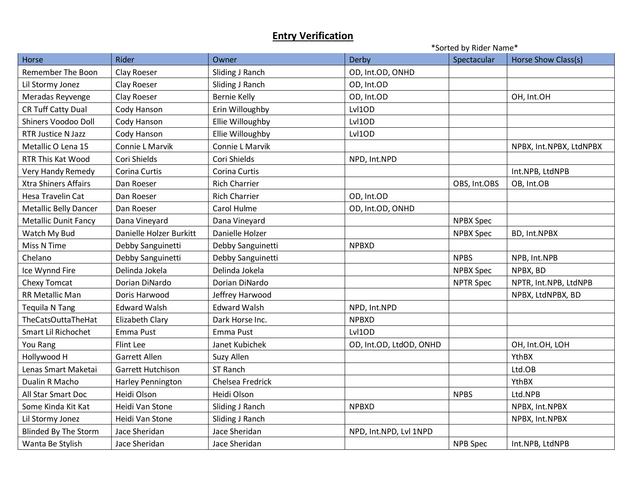|                              |                         |                      | *Sorted by Rider Name*  |                  |                         |
|------------------------------|-------------------------|----------------------|-------------------------|------------------|-------------------------|
| Horse                        | Rider                   | Owner                | Derby                   | Spectacular      | Horse Show Class(s)     |
| <b>Remember The Boon</b>     | Clay Roeser             | Sliding J Ranch      | OD, Int.OD, ONHD        |                  |                         |
| Lil Stormy Jonez             | Clay Roeser             | Sliding J Ranch      | OD, Int.OD              |                  |                         |
| Meradas Reyvenge             | Clay Roeser             | <b>Bernie Kelly</b>  | OD, Int.OD              |                  | OH, Int.OH              |
| <b>CR Tuff Catty Dual</b>    | Cody Hanson             | Erin Willoughby      | Lvl1OD                  |                  |                         |
| Shiners Voodoo Doll          | Cody Hanson             | Ellie Willoughby     | Lvl1OD                  |                  |                         |
| <b>RTR Justice N Jazz</b>    | Cody Hanson             | Ellie Willoughby     | Lvl1OD                  |                  |                         |
| Metallic O Lena 15           | Connie L Marvik         | Connie L Marvik      |                         |                  | NPBX, Int.NPBX, LtdNPBX |
| RTR This Kat Wood            | Cori Shields            | Cori Shields         | NPD, Int.NPD            |                  |                         |
| Very Handy Remedy            | Corina Curtis           | Corina Curtis        |                         |                  | Int.NPB, LtdNPB         |
| <b>Xtra Shiners Affairs</b>  | Dan Roeser              | <b>Rich Charrier</b> |                         | OBS, Int.OBS     | OB, Int.OB              |
| Hesa Travelin Cat            | Dan Roeser              | <b>Rich Charrier</b> | OD, Int.OD              |                  |                         |
| <b>Metallic Belly Dancer</b> | Dan Roeser              | Carol Hulme          | OD, Int.OD, ONHD        |                  |                         |
| <b>Metallic Dunit Fancy</b>  | Dana Vineyard           | Dana Vineyard        |                         | <b>NPBX Spec</b> |                         |
| Watch My Bud                 | Danielle Holzer Burkitt | Danielle Holzer      |                         | <b>NPBX Spec</b> | BD, Int.NPBX            |
| Miss N Time                  | Debby Sanguinetti       | Debby Sanguinetti    | <b>NPBXD</b>            |                  |                         |
| Chelano                      | Debby Sanguinetti       | Debby Sanguinetti    |                         | <b>NPBS</b>      | NPB, Int.NPB            |
| Ice Wynnd Fire               | Delinda Jokela          | Delinda Jokela       |                         | <b>NPBX Spec</b> | NPBX, BD                |
| Chexy Tomcat                 | Dorian DiNardo          | Dorian DiNardo       |                         | <b>NPTR Spec</b> | NPTR, Int.NPB, LtdNPB   |
| <b>RR Metallic Man</b>       | Doris Harwood           | Jeffrey Harwood      |                         |                  | NPBX, LtdNPBX, BD       |
| Tequila N Tang               | <b>Edward Walsh</b>     | <b>Edward Walsh</b>  | NPD, Int.NPD            |                  |                         |
| TheCatsOuttaTheHat           | Elizabeth Clary         | Dark Horse Inc.      | <b>NPBXD</b>            |                  |                         |
| Smart Lil Richochet          | Emma Pust               | Emma Pust            | Lvl1OD                  |                  |                         |
| You Rang                     | Flint Lee               | Janet Kubichek       | OD, Int.OD, LtdOD, ONHD |                  | OH, Int.OH, LOH         |
| Hollywood H                  | <b>Garrett Allen</b>    | Suzy Allen           |                         |                  | YthBX                   |
| Lenas Smart Maketai          | Garrett Hutchison       | ST Ranch             |                         |                  | Ltd.OB                  |
| Dualin R Macho               | Harley Pennington       | Chelsea Fredrick     |                         |                  | YthBX                   |
| All Star Smart Doc           | Heidi Olson             | Heidi Olson          |                         | <b>NPBS</b>      | Ltd.NPB                 |
| Some Kinda Kit Kat           | Heidi Van Stone         | Sliding J Ranch      | <b>NPBXD</b>            |                  | NPBX, Int.NPBX          |
| Lil Stormy Jonez             | Heidi Van Stone         | Sliding J Ranch      |                         |                  | NPBX, Int.NPBX          |
| <b>Blinded By The Storm</b>  | Jace Sheridan           | Jace Sheridan        | NPD, Int.NPD, Lvl 1NPD  |                  |                         |
| Wanta Be Stylish             | Jace Sheridan           | Jace Sheridan        |                         | <b>NPB</b> Spec  | Int.NPB, LtdNPB         |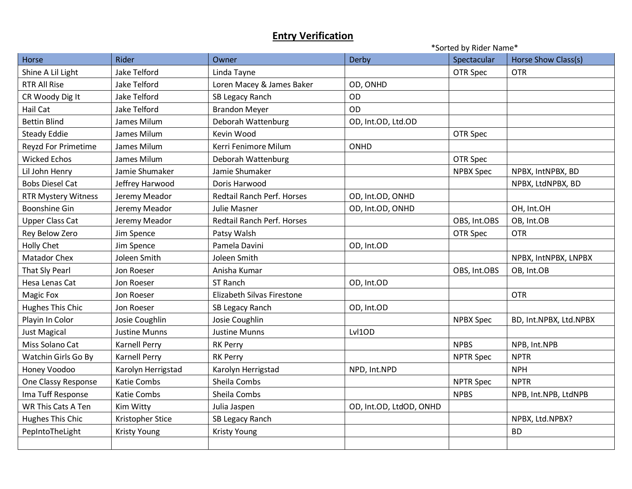|                            |                      |                                   | *Sorted by Rider Name*  |                  |                        |  |
|----------------------------|----------------------|-----------------------------------|-------------------------|------------------|------------------------|--|
| Horse                      | Rider                | Owner                             | <b>Derby</b>            | Spectacular      | Horse Show Class(s)    |  |
| Shine A Lil Light          | Jake Telford         | Linda Tayne                       |                         | OTR Spec         | <b>OTR</b>             |  |
| <b>RTR All Rise</b>        | Jake Telford         | Loren Macey & James Baker         | OD, ONHD                |                  |                        |  |
| CR Woody Dig It            | Jake Telford         | SB Legacy Ranch                   | OD                      |                  |                        |  |
| Hail Cat                   | Jake Telford         | <b>Brandon Meyer</b>              | OD                      |                  |                        |  |
| <b>Bettin Blind</b>        | James Milum          | Deborah Wattenburg                | OD, Int.OD, Ltd.OD      |                  |                        |  |
| <b>Steady Eddie</b>        | James Milum          | Kevin Wood                        |                         | OTR Spec         |                        |  |
| Reyzd For Primetime        | James Milum          | Kerri Fenimore Milum              | ONHD                    |                  |                        |  |
| <b>Wicked Echos</b>        | James Milum          | Deborah Wattenburg                |                         | OTR Spec         |                        |  |
| Lil John Henry             | Jamie Shumaker       | Jamie Shumaker                    |                         | <b>NPBX Spec</b> | NPBX, IntNPBX, BD      |  |
| <b>Bobs Diesel Cat</b>     | Jeffrey Harwood      | Doris Harwood                     |                         |                  | NPBX, LtdNPBX, BD      |  |
| <b>RTR Mystery Witness</b> | Jeremy Meador        | <b>Redtail Ranch Perf. Horses</b> | OD, Int.OD, ONHD        |                  |                        |  |
| <b>Boonshine Gin</b>       | Jeremy Meador        | Julie Masner                      | OD, Int.OD, ONHD        |                  | OH, Int.OH             |  |
| <b>Upper Class Cat</b>     | Jeremy Meador        | Redtail Ranch Perf. Horses        |                         | OBS, Int.OBS     | OB, Int.OB             |  |
| Rey Below Zero             | Jim Spence           | Patsy Walsh                       |                         | OTR Spec         | <b>OTR</b>             |  |
| Holly Chet                 | Jim Spence           | Pamela Davini                     | OD, Int.OD              |                  |                        |  |
| <b>Matador Chex</b>        | Joleen Smith         | Joleen Smith                      |                         |                  | NPBX, IntNPBX, LNPBX   |  |
| That Sly Pearl             | Jon Roeser           | Anisha Kumar                      |                         | OBS, Int.OBS     | OB, Int.OB             |  |
| Hesa Lenas Cat             | Jon Roeser           | ST Ranch                          | OD, Int.OD              |                  |                        |  |
| Magic Fox                  | Jon Roeser           | Elizabeth Silvas Firestone        |                         |                  | <b>OTR</b>             |  |
| Hughes This Chic           | Jon Roeser           | SB Legacy Ranch                   | OD, Int.OD              |                  |                        |  |
| Playin In Color            | Josie Coughlin       | Josie Coughlin                    |                         | <b>NPBX Spec</b> | BD, Int.NPBX, Ltd.NPBX |  |
| <b>Just Magical</b>        | <b>Justine Munns</b> | <b>Justine Munns</b>              | Lvl1OD                  |                  |                        |  |
| Miss Solano Cat            | <b>Karnell Perry</b> | <b>RK Perry</b>                   |                         | <b>NPBS</b>      | NPB, Int.NPB           |  |
| Watchin Girls Go By        | <b>Karnell Perry</b> | <b>RK Perry</b>                   |                         | <b>NPTR Spec</b> | <b>NPTR</b>            |  |
| Honey Voodoo               | Karolyn Herrigstad   | Karolyn Herrigstad                | NPD, Int.NPD            |                  | <b>NPH</b>             |  |
| One Classy Response        | Katie Combs          | Sheila Combs                      |                         | <b>NPTR Spec</b> | <b>NPTR</b>            |  |
| Ima Tuff Response          | Katie Combs          | Sheila Combs                      |                         | <b>NPBS</b>      | NPB, Int.NPB, LtdNPB   |  |
| <b>WR This Cats A Ten</b>  | Kim Witty            | Julia Jaspen                      | OD, Int.OD, LtdOD, ONHD |                  |                        |  |
| Hughes This Chic           | Kristopher Stice     | SB Legacy Ranch                   |                         |                  | NPBX, Ltd.NPBX?        |  |
| PepIntoTheLight            | <b>Kristy Young</b>  | <b>Kristy Young</b>               |                         |                  | <b>BD</b>              |  |
|                            |                      |                                   |                         |                  |                        |  |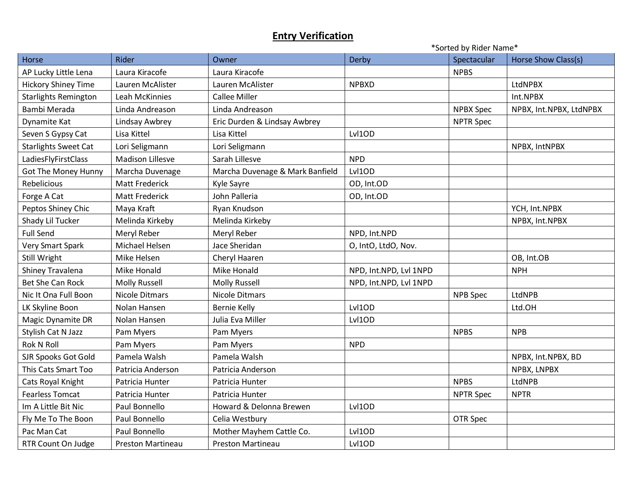|                             | *Sorted by Rider Name*  |                                 |                        |                  |                         |
|-----------------------------|-------------------------|---------------------------------|------------------------|------------------|-------------------------|
| Horse                       | Rider                   | Owner                           | Derby                  | Spectacular      | Horse Show Class(s)     |
| AP Lucky Little Lena        | Laura Kiracofe          | Laura Kiracofe                  |                        | <b>NPBS</b>      |                         |
| <b>Hickory Shiney Time</b>  | Lauren McAlister        | Lauren McAlister                | <b>NPBXD</b>           |                  | LtdNPBX                 |
| <b>Starlights Remington</b> | <b>Leah McKinnies</b>   | <b>Callee Miller</b>            |                        |                  | Int.NPBX                |
| Bambi Merada                | Linda Andreason         | Linda Andreason                 |                        | <b>NPBX Spec</b> | NPBX, Int.NPBX, LtdNPBX |
| Dynamite Kat                | Lindsay Awbrey          | Eric Durden & Lindsay Awbrey    |                        | <b>NPTR Spec</b> |                         |
| Seven S Gypsy Cat           | Lisa Kittel             | Lisa Kittel                     | Lvl1OD                 |                  |                         |
| <b>Starlights Sweet Cat</b> | Lori Seligmann          | Lori Seligmann                  |                        |                  | NPBX, IntNPBX           |
| LadiesFlyFirstClass         | <b>Madison Lillesve</b> | Sarah Lillesve                  | <b>NPD</b>             |                  |                         |
| Got The Money Hunny         | Marcha Duvenage         | Marcha Duvenage & Mark Banfield | Lvl1OD                 |                  |                         |
| Rebelicious                 | <b>Matt Frederick</b>   | Kyle Sayre                      | OD, Int.OD             |                  |                         |
| Forge A Cat                 | <b>Matt Frederick</b>   | John Palleria                   | OD, Int.OD             |                  |                         |
| Peptos Shiney Chic          | Maya Kraft              | Ryan Knudson                    |                        |                  | YCH, Int.NPBX           |
| Shady Lil Tucker            | Melinda Kirkeby         | Melinda Kirkeby                 |                        |                  | NPBX, Int.NPBX          |
| <b>Full Send</b>            | Meryl Reber             | Meryl Reber                     | NPD, Int.NPD           |                  |                         |
| Very Smart Spark            | Michael Helsen          | Jace Sheridan                   | O, IntO, LtdO, Nov.    |                  |                         |
| Still Wright                | Mike Helsen             | Cheryl Haaren                   |                        |                  | OB, Int.OB              |
| Shiney Travalena            | Mike Honald             | Mike Honald                     | NPD, Int.NPD, Lvl 1NPD |                  | <b>NPH</b>              |
| <b>Bet She Can Rock</b>     | <b>Molly Russell</b>    | <b>Molly Russell</b>            | NPD, Int.NPD, Lvl 1NPD |                  |                         |
| Nic It Ona Full Boon        | <b>Nicole Ditmars</b>   | <b>Nicole Ditmars</b>           |                        | NPB Spec         | LtdNPB                  |
| LK Skyline Boon             | Nolan Hansen            | <b>Bernie Kelly</b>             | Lvl1OD                 |                  | Ltd.OH                  |
| Magic Dynamite DR           | Nolan Hansen            | Julia Eva Miller                | Lvl1OD                 |                  |                         |
| Stylish Cat N Jazz          | Pam Myers               | Pam Myers                       |                        | <b>NPBS</b>      | <b>NPB</b>              |
| <b>Rok N Roll</b>           | Pam Myers               | Pam Myers                       | <b>NPD</b>             |                  |                         |
| <b>SJR Spooks Got Gold</b>  | Pamela Walsh            | Pamela Walsh                    |                        |                  | NPBX, Int.NPBX, BD      |
| This Cats Smart Too         | Patricia Anderson       | Patricia Anderson               |                        |                  | NPBX, LNPBX             |
| Cats Royal Knight           | Patricia Hunter         | Patricia Hunter                 |                        | <b>NPBS</b>      | LtdNPB                  |
| <b>Fearless Tomcat</b>      | Patricia Hunter         | Patricia Hunter                 |                        | <b>NPTR Spec</b> | <b>NPTR</b>             |
| Im A Little Bit Nic         | Paul Bonnello           | Howard & Delonna Brewen         | Lvl1OD                 |                  |                         |
| Fly Me To The Boon          | Paul Bonnello           | Celia Westbury                  |                        | OTR Spec         |                         |
| Pac Man Cat                 | Paul Bonnello           | Mother Mayhem Cattle Co.        | Lvl1OD                 |                  |                         |
| RTR Count On Judge          | Preston Martineau       | <b>Preston Martineau</b>        | Lvl1OD                 |                  |                         |